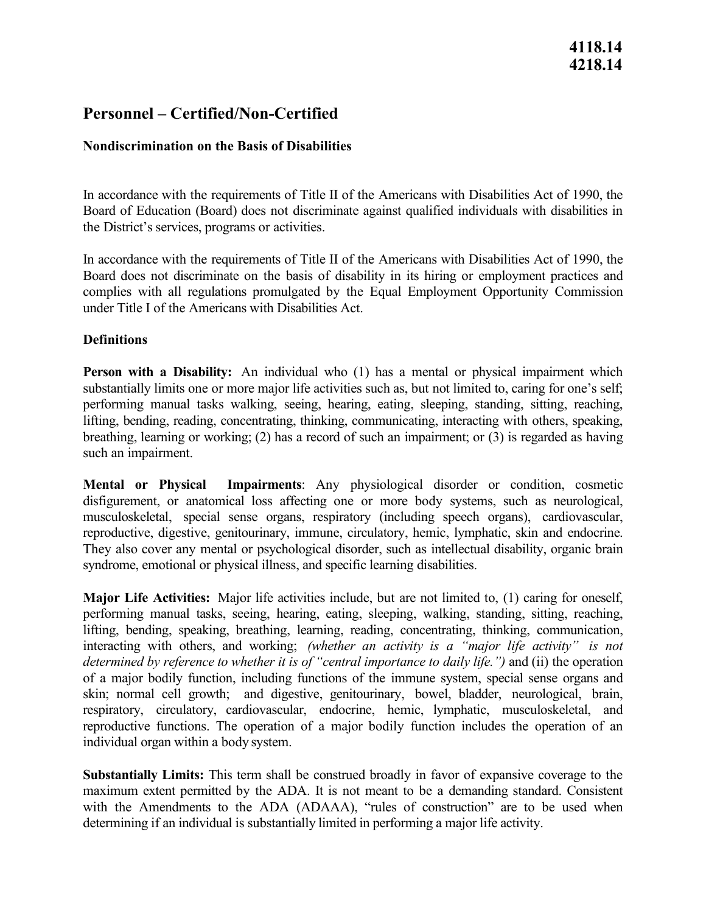# **4118.14 4218.14**

# **Personnel – Certified/Non-Certified**

## **Nondiscrimination on the Basis of Disabilities**

In accordance with the requirements of Title II of the Americans with Disabilities Act of 1990, the Board of Education (Board) does not discriminate against qualified individuals with disabilities in the District's services, programs or activities.

In accordance with the requirements of Title II of the Americans with Disabilities Act of 1990, the Board does not discriminate on the basis of disability in its hiring or employment practices and complies with all regulations promulgated by the Equal Employment Opportunity Commission under Title I of the Americans with Disabilities Act.

### **Definitions**

 substantially limits one or more major life activities such as, but not limited to, caring for one's self; **Person with a Disability:** An individual who (1) has a mental or physical impairment which performing manual tasks walking, seeing, hearing, eating, sleeping, standing, sitting, reaching, lifting, bending, reading, concentrating, thinking, communicating, interacting with others, speaking, breathing, learning or working; (2) has a record of such an impairment; or (3) is regarded as having such an impairment.

**Mental or Physical Impairments**: Any physiological disorder or condition, cosmetic disfigurement, or anatomical loss affecting one or more body systems, such as neurological, musculoskeletal, special sense organs, respiratory (including speech organs), cardiovascular, reproductive, digestive, genitourinary, immune, circulatory, hemic, lymphatic, skin and endocrine. They also cover any mental or psychological disorder, such as intellectual disability, organic brain syndrome, emotional or physical illness, and specific learning disabilities.

determined by reference to whether it is of "central importance to daily life.") and (ii) the operation skin; normal cell growth; and digestive, genitourinary, bowel, bladder, neurological, brain, respiratory, circulatory, cardiovascular, endocrine, hemic, lymphatic, musculoskeletal, and individual organ within a body system. **Major Life Activities:** Major life activities include, but are not limited to, (1) caring for oneself, performing manual tasks, seeing, hearing, eating, sleeping, walking, standing, sitting, reaching, lifting, bending, speaking, breathing, learning, reading, concentrating, thinking, communication, interacting with others, and working; *(whether an activity is a "major life activity" is not*  of a major bodily function, including functions of the immune system, special sense organs and reproductive functions. The operation of a major bodily function includes the operation of an

 determining if an individual is substantially limited in performing a major life activity. **Substantially Limits:** This term shall be construed broadly in favor of expansive coverage to the maximum extent permitted by the ADA. It is not meant to be a demanding standard. Consistent with the Amendments to the ADA (ADAAA), "rules of construction" are to be used when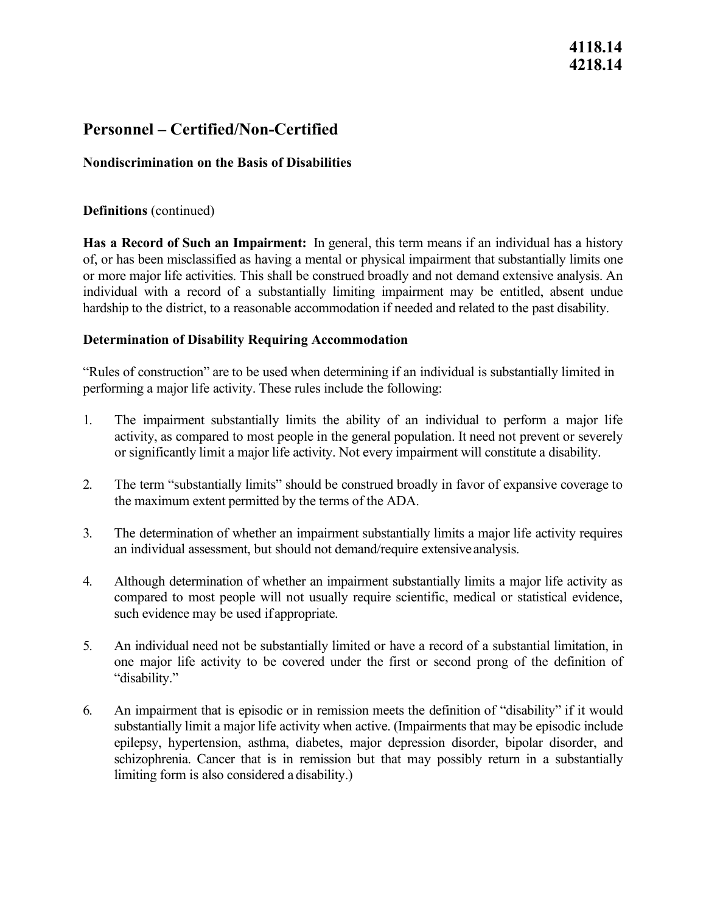# **4118.14 4218.14**

# **Personnel – Certified/Non-Certified**

## **Nondiscrimination on the Basis of Disabilities**

### **Definitions** (continued)

 **Has a Record of Such an Impairment:** In general, this term means if an individual has a history of, or has been misclassified as having a mental or physical impairment that substantially limits one or more major life activities. This shall be construed broadly and not demand extensive analysis. An individual with a record of a substantially limiting impairment may be entitled, absent undue hardship to the district, to a reasonable accommodation if needed and related to the past disability.

## **Determination of Disability Requiring Accommodation**

"Rules of construction" are to be used when determining if an individual is substantially limited in performing a major life activity. These rules include the following:

- 1. The impairment substantially limits the ability of an individual to perform a major life or significantly limit a major life activity. Not every impairment will constitute a disability. activity, as compared to most people in the general population. It need not prevent or severely
- the maximum extent permitted by the terms of the ADA. 2. The term "substantially limits" should be construed broadly in favor of expansive coverage to
- 3. The determination of whether an impairment substantially limits a major life activity requires an individual assessment, but should not demand/require extensiveanalysis.
- such evidence may be used if appropriate. 4. Although determination of whether an impairment substantially limits a major life activity as compared to most people will not usually require scientific, medical or statistical evidence,
- one major life activity to be covered under the first or second prong of the definition of 5. An individual need not be substantially limited or have a record of a substantial limitation, in "disability."
- substantially limit a major life activity when active. (Impairments that may be episodic include limiting form is also considered a disability.) 6. An impairment that is episodic or in remission meets the definition of "disability" if it would epilepsy, hypertension, asthma, diabetes, major depression disorder, bipolar disorder, and schizophrenia. Cancer that is in remission but that may possibly return in a substantially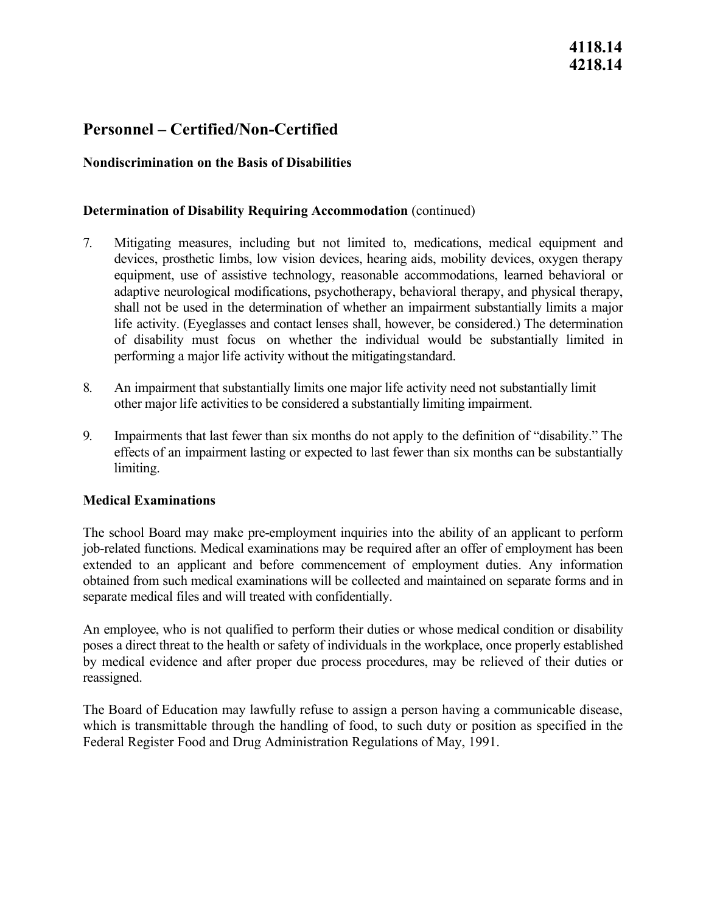# **Personnel – Certified/Non-Certified**

## **Nondiscrimination on the Basis of Disabilities**

### **Determination of Disability Requiring Accommodation** (continued)

- shall not be used in the determination of whether an impairment substantially limits a major performing a major life activity without the mitigatingstandard. 7. Mitigating measures, including but not limited to, medications, medical equipment and devices, prosthetic limbs, low vision devices, hearing aids, mobility devices, oxygen therapy equipment, use of assistive technology, reasonable accommodations, learned behavioral or adaptive neurological modifications, psychotherapy, behavioral therapy, and physical therapy, life activity. (Eyeglasses and contact lenses shall, however, be considered.) The determination of disability must focus on whether the individual would be substantially limited in
- other major life activities to be considered a substantially limiting impairment. 8. An impairment that substantially limits one major life activity need not substantially limit
- effects of an impairment lasting or expected to last fewer than six months can be substantially 9. Impairments that last fewer than six months do not apply to the definition of "disability." The limiting.

### **Medical Examinations**

 obtained from such medical examinations will be collected and maintained on separate forms and in The school Board may make pre-employment inquiries into the ability of an applicant to perform job-related functions. Medical examinations may be required after an offer of employment has been extended to an applicant and before commencement of employment duties. Any information separate medical files and will treated with confidentially.

 poses a direct threat to the health or safety of individuals in the workplace, once properly established An employee, who is not qualified to perform their duties or whose medical condition or disability by medical evidence and after proper due process procedures, may be relieved of their duties or reassigned.

The Board of Education may lawfully refuse to assign a person having a communicable disease, which is transmittable through the handling of food, to such duty or position as specified in the Federal Register Food and Drug Administration Regulations of May, 1991.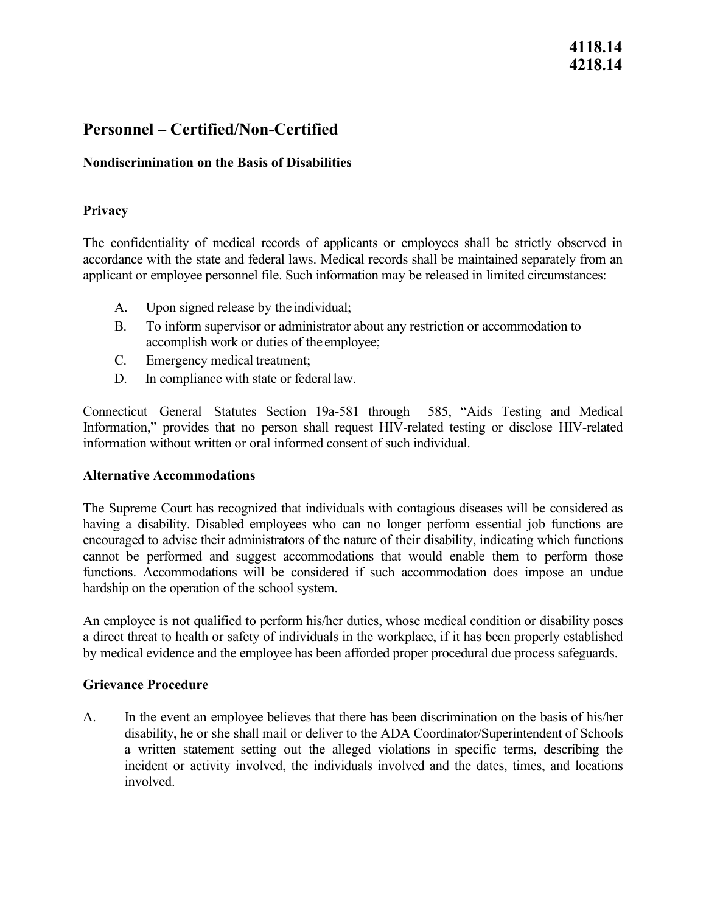# **4118.14 4218.14**

# **Personnel – Certified/Non-Certified**

## **Nondiscrimination on the Basis of Disabilities**

## **Privacy**

The confidentiality of medical records of applicants or employees shall be strictly observed in accordance with the state and federal laws. Medical records shall be maintained separately from an applicant or employee personnel file. Such information may be released in limited circumstances:

- A. Upon signed release by the individual;
- accomplish work or duties of the employee; B. To inform supervisor or administrator about any restriction or accommodation to
- C. Emergency medical treatment;
- D. In compliance with state or federal law.

 Connecticut General Statutes Section 19a-581 through 585, "Aids Testing and Medical Information," provides that no person shall request HIV-related testing or disclose HIV-related information without written or oral informed consent of such individual.

### **Alternative Accommodations**

The Supreme Court has recognized that individuals with contagious diseases will be considered as having a disability. Disabled employees who can no longer perform essential job functions are encouraged to advise their administrators of the nature of their disability, indicating which functions cannot be performed and suggest accommodations that would enable them to perform those functions. Accommodations will be considered if such accommodation does impose an undue hardship on the operation of the school system.

An employee is not qualified to perform his/her duties, whose medical condition or disability poses a direct threat to health or safety of individuals in the workplace, if it has been properly established by medical evidence and the employee has been afforded proper procedural due process safeguards.

### **Grievance Procedure**

 disability, he or she shall mail or deliver to the ADA Coordinator/Superintendent of Schools A. In the event an employee believes that there has been discrimination on the basis of his/her a written statement setting out the alleged violations in specific terms, describing the incident or activity involved, the individuals involved and the dates, times, and locations involved.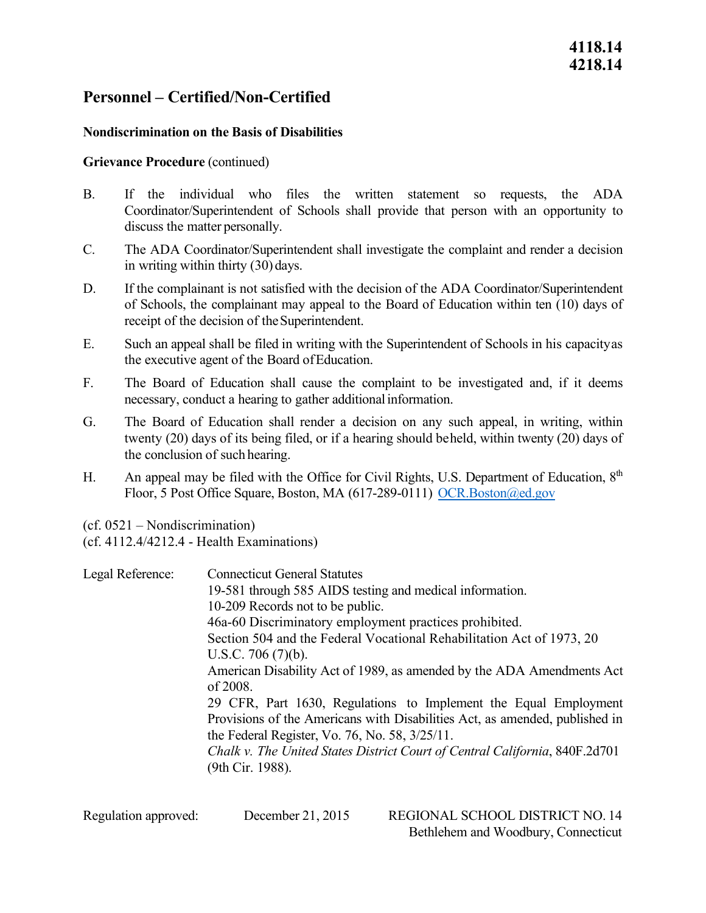# **Personnel – Certified/Non-Certified**

### **Nondiscrimination on the Basis of Disabilities**

### **Grievance Procedure** (continued)

- Coordinator/Superintendent of Schools shall provide that person with an opportunity to discuss the matter personally. B. If the individual who files the written statement so requests, the ADA
- in writing within thirty (30) days. C. The ADA Coordinator/Superintendent shall investigate the complaint and render a decision
- D. If the complainant is not satisfied with the decision of the ADA Coordinator/Superintendent of Schools, the complainant may appeal to the Board of Education within ten (10) days of receipt of the decision of the Superintendent.
- E. Such an appeal shall be filed in writing with the Superintendent of Schools in his capacityas the executive agent of the Board ofEducation.
- necessary, conduct a hearing to gather additional information. F. The Board of Education shall cause the complaint to be investigated and, if it deems
- the conclusion of such hearing. G. The Board of Education shall render a decision on any such appeal, in writing, within twenty (20) days of its being filed, or if a hearing should beheld, within twenty (20) days of
- H. An appeal may be filed with the Office for Civil Rights, U.S. Department of Education, 8<sup>th</sup> Floor, 5 Post Office Square, Boston, MA (617-289-0111) OCR.Boston@ed.gov

(cf. 0521 – Nondiscrimination)

(cf. 4112.4/4212.4 - Health Examinations)

Legal Reference: Section 504 and the Federal Vocational Rehabilitation Act of 1973, 20 Connecticut General Statutes 19-581 through 585 AIDS testing and medical information. 10-209 Records not to be public. 46a-60 Discriminatory employment practices prohibited. U.S.C. 706 (7)(b). American Disability Act of 1989, as amended by the ADA Amendments Act of 2008. 29 CFR, Part 1630, Regulations to Implement the Equal Employment Provisions of the Americans with Disabilities Act, as amended, published in the Federal Register, Vo. 76, No. 58, 3/25/11. *Chalk v. The United States District Court of Central California*, 840F.2d701 (9th Cir. 1988).

December 21, 2015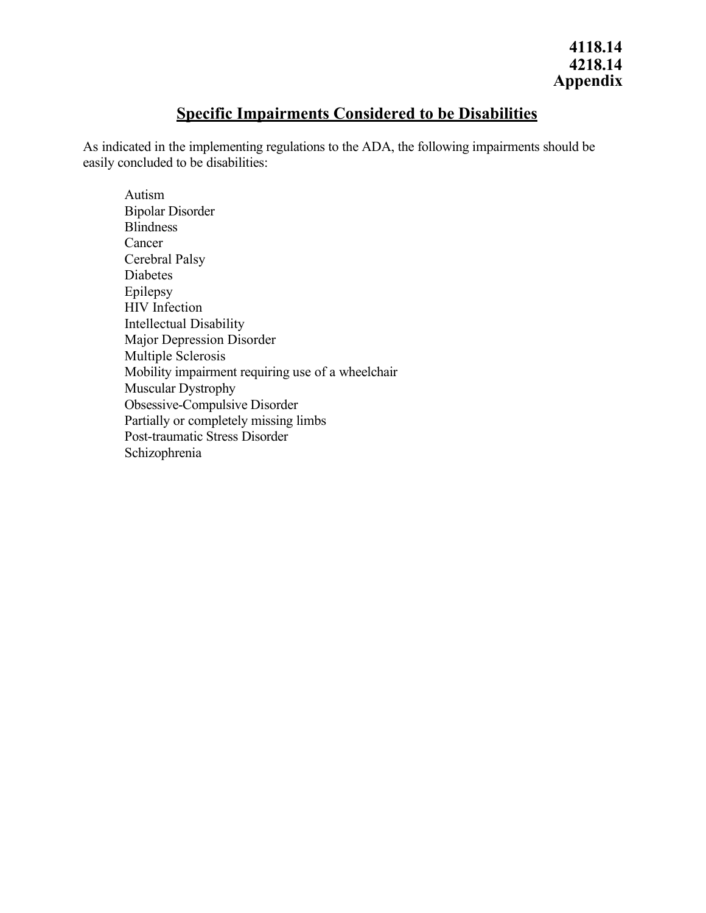## **Specific Impairments Considered to be Disabilities**

As indicated in the implementing regulations to the ADA, the following impairments should be easily concluded to be disabilities:

Autism Bipolar Disorder Blindness Cancer Cerebral Palsy Diabetes Epilepsy HIV Infection Intellectual Disability Major Depression Disorder Multiple Sclerosis Mobility impairment requiring use of a wheelchair Muscular Dystrophy Obsessive-Compulsive Disorder Partially or completely missing limbs Post-traumatic Stress Disorder Schizophrenia